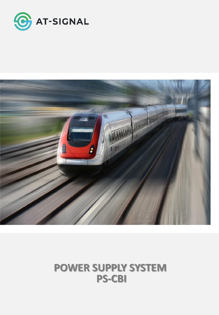



# **POWER SUPPLY SYSTEM PS-CBI**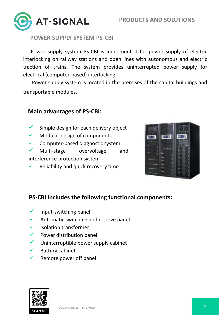

## **POWER SUPPLY SYSTEM PS-CBI**

Power supply system PS-CBI is implemented for power supply of electric interlocking on railway stations and open lines with autonomous and electric traction of trains. The system provides uninterrupted power supply for electrical (computer-based) interlocking.

Power supply system is located in the premises of the capital buildings and transportable modules.

### **Main advantages of PS-CBI:**

- $\checkmark$  Simple design for each delivery object
- $\checkmark$  Modular design of components
- ✓ Computer-based diagnostic system

✓ Multi-stage overvoltage and interference protection system

 $\checkmark$  Reliability and quick recovery time



# **PS-CBI includes the following functional components:**

- $\checkmark$  Input-switching panel
- Automatic switching and reserve panel
- Isolation transformer
- $\checkmark$  Power distribution panel
- $\checkmark$  Uninterruptible power supply cabinet
- ✓ Battery cabinet
- $\checkmark$  Remote power off panel

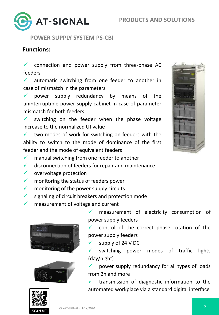

**POWER SUPPLY SYSTEM PS-CBI**

## **Functions:**

 $\checkmark$  connection and power supply from three-phase AC feeders

 $\checkmark$  automatic switching from one feeder to another in case of mismatch in the parameters

 $\checkmark$  power supply redundancy by means of the uninterruptible power supply cabinet in case of parameter mismatch for both feeders

 $\checkmark$  switching on the feeder when the phase voltage increase to the normalized Uf value

 $\checkmark$  two modes of work for switching on feeders with the ability to switch to the mode of dominance of the first feeder and the mode of equivalent feeders

- $\checkmark$  manual switching from one feeder to another
- disconnection of feeders for repair and maintenance
- $\checkmark$  overvoltage protection
- $\checkmark$  monitoring the status of feeders power
- $\checkmark$  monitoring of the power supply circuits
- $\checkmark$  signaling of circuit breakers and protection mode
- measurement of voltage and current





measurement of electricity consumption of power supply feeders

 $\checkmark$  control of the correct phase rotation of the power supply feeders

supply of 24 V DC

✓ switching power modes of traffic lights (day/night)

power supply redundancy for all types of loads from 2h and more

 $\checkmark$  transmission of diagnostic information to the automated workplace via a standard digital interface